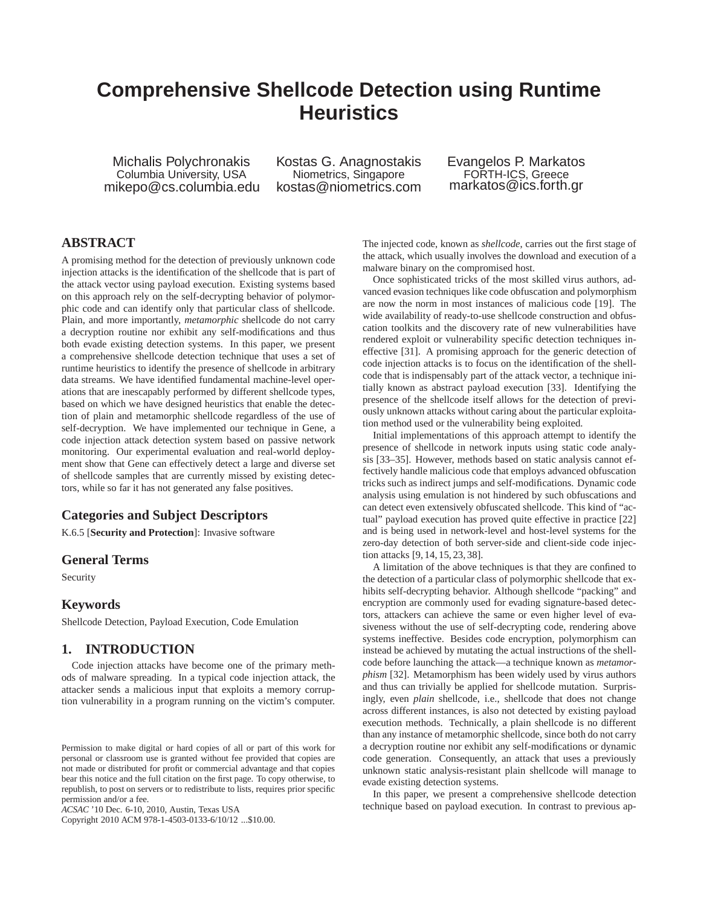# **Comprehensive Shellcode Detection using Runtime Heuristics**

Michalis Polychronakis Columbia University, USA mikepo@cs.columbia.edu Kostas G. Anagnostakis Niometrics, Singapore kostas@niometrics.com Evangelos P. Markatos FORTH-ICS, Greece markatos@ics.forth.gr

# **ABSTRACT**

A promising method for the detection of previously unknown code injection attacks is the identification of the shellcode that is part of the attack vector using payload execution. Existing systems based on this approach rely on the self-decrypting behavior of polymorphic code and can identify only that particular class of shellcode. Plain, and more importantly, *metamorphic* shellcode do not carry a decryption routine nor exhibit any self-modifications and thus both evade existing detection systems. In this paper, we present a comprehensive shellcode detection technique that uses a set of runtime heuristics to identify the presence of shellcode in arbitrary data streams. We have identified fundamental machine-level operations that are inescapably performed by different shellcode types, based on which we have designed heuristics that enable the detection of plain and metamorphic shellcode regardless of the use of self-decryption. We have implemented our technique in Gene, a code injection attack detection system based on passive network monitoring. Our experimental evaluation and real-world deployment show that Gene can effectively detect a large and diverse set of shellcode samples that are currently missed by existing detectors, while so far it has not generated any false positives.

# **Categories and Subject Descriptors**

K.6.5 [**Security and Protection**]: Invasive software

# **General Terms**

Security

#### **Keywords**

Shellcode Detection, Payload Execution, Code Emulation

## **1. INTRODUCTION**

Code injection attacks have become one of the primary methods of malware spreading. In a typical code injection attack, the attacker sends a malicious input that exploits a memory corruption vulnerability in a program running on the victim's computer.

Copyright 2010 ACM 978-1-4503-0133-6/10/12 ...\$10.00.

The injected code, known as *shellcode*, carries out the first stage of the attack, which usually involves the download and execution of a malware binary on the compromised host.

Once sophisticated tricks of the most skilled virus authors, advanced evasion techniques like code obfuscation and polymorphism are now the norm in most instances of malicious code [19]. The wide availability of ready-to-use shellcode construction and obfuscation toolkits and the discovery rate of new vulnerabilities have rendered exploit or vulnerability specific detection techniques ineffective [31]. A promising approach for the generic detection of code injection attacks is to focus on the identification of the shellcode that is indispensably part of the attack vector, a technique initially known as abstract payload execution [33]. Identifying the presence of the shellcode itself allows for the detection of previously unknown attacks without caring about the particular exploitation method used or the vulnerability being exploited.

Initial implementations of this approach attempt to identify the presence of shellcode in network inputs using static code analysis [33–35]. However, methods based on static analysis cannot effectively handle malicious code that employs advanced obfuscation tricks such as indirect jumps and self-modifications. Dynamic code analysis using emulation is not hindered by such obfuscations and can detect even extensively obfuscated shellcode. This kind of "actual" payload execution has proved quite effective in practice [22] and is being used in network-level and host-level systems for the zero-day detection of both server-side and client-side code injection attacks [9, 14, 15, 23, 38].

A limitation of the above techniques is that they are confined to the detection of a particular class of polymorphic shellcode that exhibits self-decrypting behavior. Although shellcode "packing" and encryption are commonly used for evading signature-based detectors, attackers can achieve the same or even higher level of evasiveness without the use of self-decrypting code, rendering above systems ineffective. Besides code encryption, polymorphism can instead be achieved by mutating the actual instructions of the shellcode before launching the attack—a technique known as *metamorphism* [32]. Metamorphism has been widely used by virus authors and thus can trivially be applied for shellcode mutation. Surprisingly, even *plain* shellcode, i.e., shellcode that does not change across different instances, is also not detected by existing payload execution methods. Technically, a plain shellcode is no different than any instance of metamorphic shellcode, since both do not carry a decryption routine nor exhibit any self-modifications or dynamic code generation. Consequently, an attack that uses a previously unknown static analysis-resistant plain shellcode will manage to evade existing detection systems.

In this paper, we present a comprehensive shellcode detection technique based on payload execution. In contrast to previous ap-

Permission to make digital or hard copies of all or part of this work for personal or classroom use is granted without fee provided that copies are not made or distributed for profit or commercial advantage and that copies bear this notice and the full citation on the first page. To copy otherwise, to republish, to post on servers or to redistribute to lists, requires prior specific permission and/or a fee.

*ACSAC* '10 Dec. 6-10, 2010, Austin, Texas USA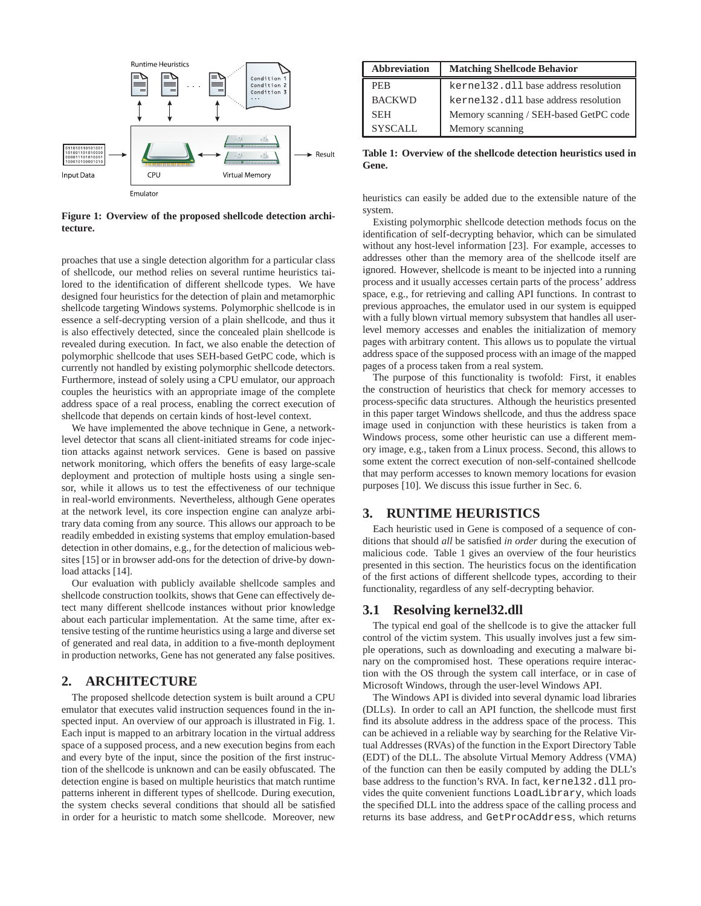

**Figure 1: Overview of the proposed shellcode detection architecture.**

proaches that use a single detection algorithm for a particular class of shellcode, our method relies on several runtime heuristics tailored to the identification of different shellcode types. We have designed four heuristics for the detection of plain and metamorphic shellcode targeting Windows systems. Polymorphic shellcode is in essence a self-decrypting version of a plain shellcode, and thus it is also effectively detected, since the concealed plain shellcode is revealed during execution. In fact, we also enable the detection of polymorphic shellcode that uses SEH-based GetPC code, which is currently not handled by existing polymorphic shellcode detectors. Furthermore, instead of solely using a CPU emulator, our approach couples the heuristics with an appropriate image of the complete address space of a real process, enabling the correct execution of shellcode that depends on certain kinds of host-level context.

We have implemented the above technique in Gene, a networklevel detector that scans all client-initiated streams for code injection attacks against network services. Gene is based on passive network monitoring, which offers the benefits of easy large-scale deployment and protection of multiple hosts using a single sensor, while it allows us to test the effectiveness of our technique in real-world environments. Nevertheless, although Gene operates at the network level, its core inspection engine can analyze arbitrary data coming from any source. This allows our approach to be readily embedded in existing systems that employ emulation-based detection in other domains, e.g., for the detection of malicious websites [15] or in browser add-ons for the detection of drive-by download attacks [14].

Our evaluation with publicly available shellcode samples and shellcode construction toolkits, shows that Gene can effectively detect many different shellcode instances without prior knowledge about each particular implementation. At the same time, after extensive testing of the runtime heuristics using a large and diverse set of generated and real data, in addition to a five-month deployment in production networks, Gene has not generated any false positives.

## **2. ARCHITECTURE**

The proposed shellcode detection system is built around a CPU emulator that executes valid instruction sequences found in the inspected input. An overview of our approach is illustrated in Fig. 1. Each input is mapped to an arbitrary location in the virtual address space of a supposed process, and a new execution begins from each and every byte of the input, since the position of the first instruction of the shellcode is unknown and can be easily obfuscated. The detection engine is based on multiple heuristics that match runtime patterns inherent in different types of shellcode. During execution, the system checks several conditions that should all be satisfied in order for a heuristic to match some shellcode. Moreover, new

| Abbreviation   | <b>Matching Shellcode Behavior</b>     |
|----------------|----------------------------------------|
| <b>PER</b>     | kerne132.dll base address resolution   |
| <b>BACKWD</b>  | kerne132.dll base address resolution   |
| <b>SEH</b>     | Memory scanning / SEH-based GetPC code |
| <b>SYSCALL</b> | Memory scanning                        |

**Table 1: Overview of the shellcode detection heuristics used in Gene.**

heuristics can easily be added due to the extensible nature of the system.

Existing polymorphic shellcode detection methods focus on the identification of self-decrypting behavior, which can be simulated without any host-level information [23]. For example, accesses to addresses other than the memory area of the shellcode itself are ignored. However, shellcode is meant to be injected into a running process and it usually accesses certain parts of the process' address space, e.g., for retrieving and calling API functions. In contrast to previous approaches, the emulator used in our system is equipped with a fully blown virtual memory subsystem that handles all userlevel memory accesses and enables the initialization of memory pages with arbitrary content. This allows us to populate the virtual address space of the supposed process with an image of the mapped pages of a process taken from a real system.

The purpose of this functionality is twofold: First, it enables the construction of heuristics that check for memory accesses to process-specific data structures. Although the heuristics presented in this paper target Windows shellcode, and thus the address space image used in conjunction with these heuristics is taken from a Windows process, some other heuristic can use a different memory image, e.g., taken from a Linux process. Second, this allows to some extent the correct execution of non-self-contained shellcode that may perform accesses to known memory locations for evasion purposes [10]. We discuss this issue further in Sec. 6.

# **3. RUNTIME HEURISTICS**

Each heuristic used in Gene is composed of a sequence of conditions that should *all* be satisfied *in order* during the execution of malicious code. Table 1 gives an overview of the four heuristics presented in this section. The heuristics focus on the identification of the first actions of different shellcode types, according to their functionality, regardless of any self-decrypting behavior.

## **3.1 Resolving kernel32.dll**

The typical end goal of the shellcode is to give the attacker full control of the victim system. This usually involves just a few simple operations, such as downloading and executing a malware binary on the compromised host. These operations require interaction with the OS through the system call interface, or in case of Microsoft Windows, through the user-level Windows API.

The Windows API is divided into several dynamic load libraries (DLLs). In order to call an API function, the shellcode must first find its absolute address in the address space of the process. This can be achieved in a reliable way by searching for the Relative Virtual Addresses (RVAs) of the function in the Export Directory Table (EDT) of the DLL. The absolute Virtual Memory Address (VMA) of the function can then be easily computed by adding the DLL's base address to the function's RVA. In fact, kernel32.dll provides the quite convenient functions LoadLibrary, which loads the specified DLL into the address space of the calling process and returns its base address, and GetProcAddress, which returns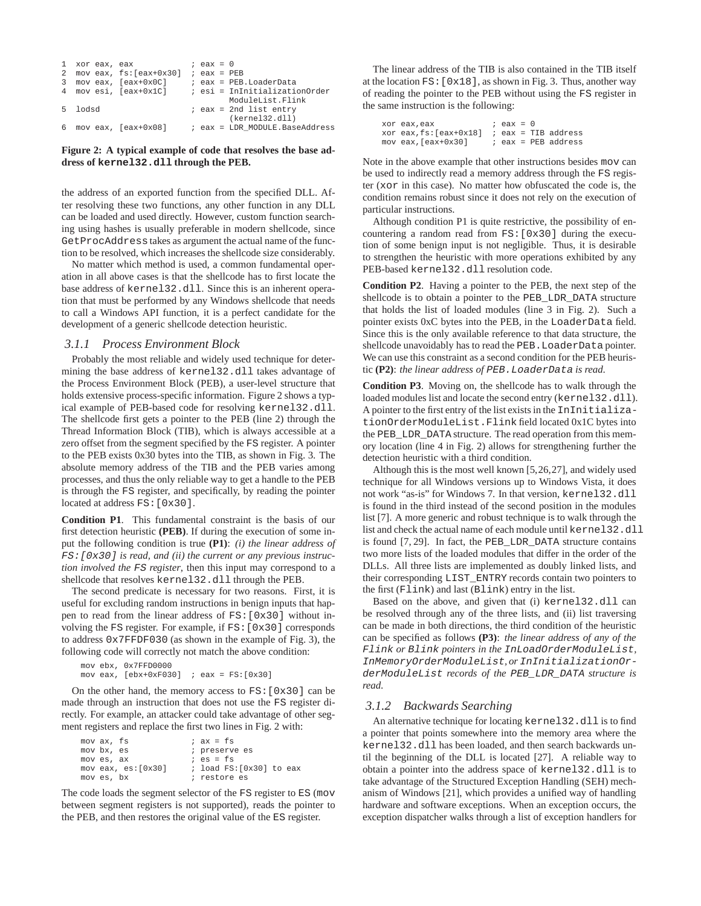| 1 xor eax, eax |                           | $i$ eax = 0   |                                |
|----------------|---------------------------|---------------|--------------------------------|
|                | 2 mov eax, fs: [eax+0x30] | $i$ eax = PEB |                                |
|                | 3 mov eax, [eax+0x0C]     |               | ; eax = PEB.LoaderData         |
|                | 4 mov esi, [eax+0x1C]     |               | ; esi = InInitializationOrder  |
|                |                           |               | ModuleList.Flink               |
| 5 lodsd        |                           |               | $i$ eax = 2nd list entry       |
|                |                           |               | (kerne132.d11)                 |
|                | $6$ mov eax, $[ear+0x08]$ |               | ; eax = LDR MODULE.BaseAddress |

**Figure 2: A typical example of code that resolves the base address of kernel32.dll through the PEB.**

the address of an exported function from the specified DLL. After resolving these two functions, any other function in any DLL can be loaded and used directly. However, custom function searching using hashes is usually preferable in modern shellcode, since GetProcAddress takes as argument the actual name of the function to be resolved, which increases the shellcode size considerably.

No matter which method is used, a common fundamental operation in all above cases is that the shellcode has to first locate the base address of kernel32.dll. Since this is an inherent operation that must be performed by any Windows shellcode that needs to call a Windows API function, it is a perfect candidate for the development of a generic shellcode detection heuristic.

#### *3.1.1 Process Environment Block*

Probably the most reliable and widely used technique for determining the base address of kernel32.dll takes advantage of the Process Environment Block (PEB), a user-level structure that holds extensive process-specific information. Figure 2 shows a typical example of PEB-based code for resolving kernel32.dll. The shellcode first gets a pointer to the PEB (line 2) through the Thread Information Block (TIB), which is always accessible at a zero offset from the segment specified by the FS register. A pointer to the PEB exists 0x30 bytes into the TIB, as shown in Fig. 3. The absolute memory address of the TIB and the PEB varies among processes, and thus the only reliable way to get a handle to the PEB is through the FS register, and specifically, by reading the pointer located at address FS:[0x30].

**Condition P1**. This fundamental constraint is the basis of our first detection heuristic **(PEB)**. If during the execution of some input the following condition is true **(P1)**: *(i) the linear address of* FS:[0x30] *is read, and (ii) the current or any previous instruction involved the* FS *register*, then this input may correspond to a shellcode that resolves kernel32.dll through the PEB.

The second predicate is necessary for two reasons. First, it is useful for excluding random instructions in benign inputs that happen to read from the linear address of FS:[0x30] without involving the FS register. For example, if FS:[0x30] corresponds to address 0x7FFDF030 (as shown in the example of Fig. 3), the following code will correctly not match the above condition:

```
mov ebx, 0x7FFD0000
mov eax, [ebx+0xF030] ; eax = FS:[0x30]
```
On the other hand, the memory access to FS:[0x30] can be made through an instruction that does not use the FS register directly. For example, an attacker could take advantage of other segment registers and replace the first two lines in Fig. 2 with:

| mov ax, fs         | ; $ax = fs$              |
|--------------------|--------------------------|
| mov bx, es         | ; preserve es            |
| mov es, ax         | $i$ es = fs              |
| mov eax, es:[0x30] | ; load FS: [0x30] to eax |
| mov es, bx         | ; restore es             |

The code loads the segment selector of the FS register to ES (mov between segment registers is not supported), reads the pointer to the PEB, and then restores the original value of the ES register.

The linear address of the TIB is also contained in the TIB itself at the location  $FS:$  [  $0x18$  ], as shown in Fig. 3. Thus, another way of reading the pointer to the PEB without using the FS register in the same instruction is the following:

| xor eax, eax                                 | $i$ eax = 0 |  |                       |
|----------------------------------------------|-------------|--|-----------------------|
| xor eax, $fs:[eax+0x18]$ ; eax = TIB address |             |  |                       |
| mov eax, [eax+0x30]                          |             |  | $;$ eax = PEB address |

Note in the above example that other instructions besides mov can be used to indirectly read a memory address through the FS register (xor in this case). No matter how obfuscated the code is, the condition remains robust since it does not rely on the execution of particular instructions.

Although condition P1 is quite restrictive, the possibility of encountering a random read from FS:[0x30] during the execution of some benign input is not negligible. Thus, it is desirable to strengthen the heuristic with more operations exhibited by any PEB-based kernel32.dll resolution code.

**Condition P2**. Having a pointer to the PEB, the next step of the shellcode is to obtain a pointer to the PEB\_LDR\_DATA structure that holds the list of loaded modules (line 3 in Fig. 2). Such a pointer exists 0xC bytes into the PEB, in the LoaderData field. Since this is the only available reference to that data structure, the shellcode unavoidably has to read the PEB.LoaderData pointer. We can use this constraint as a second condition for the PEB heuristic **(P2)**: *the linear address of* PEB.LoaderData *is read*.

**Condition P3**. Moving on, the shellcode has to walk through the loaded modules list and locate the second entry (kernel32.dll). A pointer to the first entry of the list exists in the InInitializationOrderModuleList.Flink field located 0x1C bytes into the PEB\_LDR\_DATA structure. The read operation from this memory location (line 4 in Fig. 2) allows for strengthening further the detection heuristic with a third condition.

Although this is the most well known [5,26,27], and widely used technique for all Windows versions up to Windows Vista, it does not work "as-is" for Windows 7. In that version, kernel32.dll is found in the third instead of the second position in the modules list [7]. A more generic and robust technique is to walk through the list and check the actual name of each module until kernel32.dll is found [7, 29]. In fact, the PEB\_LDR\_DATA structure contains two more lists of the loaded modules that differ in the order of the DLLs. All three lists are implemented as doubly linked lists, and their corresponding LIST\_ENTRY records contain two pointers to the first (Flink) and last (Blink) entry in the list.

Based on the above, and given that (i) kernel32.dll can be resolved through any of the three lists, and (ii) list traversing can be made in both directions, the third condition of the heuristic can be specified as follows **(P3)**: *the linear address of any of the* Flink *or* Blink *pointers in the* InLoadOrderModuleList*,* InMemoryOrderModuleList*, or* InInitializationOrderModuleList *records of the* PEB\_LDR\_DATA *structure is read*.

#### *3.1.2 Backwards Searching*

An alternative technique for locating kernel32.dll is to find a pointer that points somewhere into the memory area where the kernel32.dll has been loaded, and then search backwards until the beginning of the DLL is located [27]. A reliable way to obtain a pointer into the address space of kernel32.dll is to take advantage of the Structured Exception Handling (SEH) mechanism of Windows [21], which provides a unified way of handling hardware and software exceptions. When an exception occurs, the exception dispatcher walks through a list of exception handlers for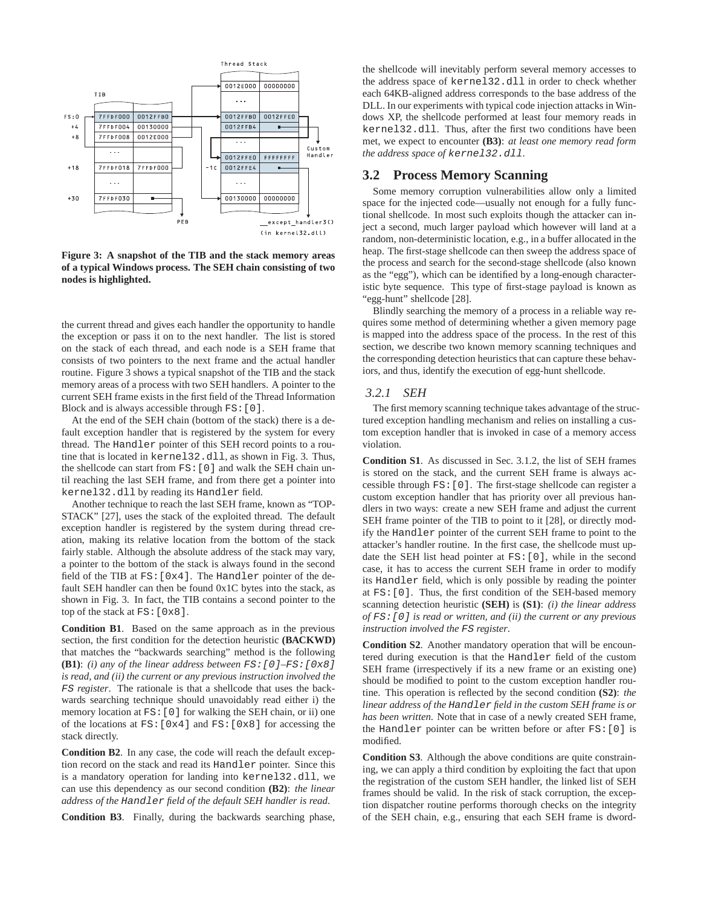

**Figure 3: A snapshot of the TIB and the stack memory areas of a typical Windows process. The SEH chain consisting of two nodes is highlighted.**

the current thread and gives each handler the opportunity to handle the exception or pass it on to the next handler. The list is stored on the stack of each thread, and each node is a SEH frame that consists of two pointers to the next frame and the actual handler routine. Figure 3 shows a typical snapshot of the TIB and the stack memory areas of a process with two SEH handlers. A pointer to the current SEH frame exists in the first field of the Thread Information Block and is always accessible through FS:[0].

At the end of the SEH chain (bottom of the stack) there is a default exception handler that is registered by the system for every thread. The Handler pointer of this SEH record points to a routine that is located in kernel32.dll, as shown in Fig. 3. Thus, the shellcode can start from FS:[0] and walk the SEH chain until reaching the last SEH frame, and from there get a pointer into kernel32.dll by reading its Handler field.

Another technique to reach the last SEH frame, known as "TOP-STACK" [27], uses the stack of the exploited thread. The default exception handler is registered by the system during thread creation, making its relative location from the bottom of the stack fairly stable. Although the absolute address of the stack may vary, a pointer to the bottom of the stack is always found in the second field of the TIB at FS:[0x4]. The Handler pointer of the default SEH handler can then be found 0x1C bytes into the stack, as shown in Fig. 3. In fact, the TIB contains a second pointer to the top of the stack at FS:[0x8].

**Condition B1**. Based on the same approach as in the previous section, the first condition for the detection heuristic **(BACKWD)** that matches the "backwards searching" method is the following **(B1)**: *(i) any of the linear address between* FS:[0]*–*FS:[0x8] *is read, and (ii) the current or any previous instruction involved the* FS *register*. The rationale is that a shellcode that uses the backwards searching technique should unavoidably read either i) the memory location at FS:[0] for walking the SEH chain, or ii) one of the locations at FS:[0x4] and FS:[0x8] for accessing the stack directly.

**Condition B2**. In any case, the code will reach the default exception record on the stack and read its Handler pointer. Since this is a mandatory operation for landing into kernel32.dll, we can use this dependency as our second condition **(B2)**: *the linear address of the* Handler *field of the default SEH handler is read*.

**Condition B3**. Finally, during the backwards searching phase,

the shellcode will inevitably perform several memory accesses to the address space of kernel32.dll in order to check whether each 64KB-aligned address corresponds to the base address of the DLL. In our experiments with typical code injection attacks in Windows XP, the shellcode performed at least four memory reads in kernel32.dll. Thus, after the first two conditions have been met, we expect to encounter **(B3)**: *at least one memory read form the address space of* kernel32.dll.

## **3.2 Process Memory Scanning**

Some memory corruption vulnerabilities allow only a limited space for the injected code—usually not enough for a fully functional shellcode. In most such exploits though the attacker can inject a second, much larger payload which however will land at a random, non-deterministic location, e.g., in a buffer allocated in the heap. The first-stage shellcode can then sweep the address space of the process and search for the second-stage shellcode (also known as the "egg"), which can be identified by a long-enough characteristic byte sequence. This type of first-stage payload is known as "egg-hunt" shellcode [28].

Blindly searching the memory of a process in a reliable way requires some method of determining whether a given memory page is mapped into the address space of the process. In the rest of this section, we describe two known memory scanning techniques and the corresponding detection heuristics that can capture these behaviors, and thus, identify the execution of egg-hunt shellcode.

#### *3.2.1 SEH*

The first memory scanning technique takes advantage of the structured exception handling mechanism and relies on installing a custom exception handler that is invoked in case of a memory access violation.

**Condition S1**. As discussed in Sec. 3.1.2, the list of SEH frames is stored on the stack, and the current SEH frame is always accessible through FS:[0]. The first-stage shellcode can register a custom exception handler that has priority over all previous handlers in two ways: create a new SEH frame and adjust the current SEH frame pointer of the TIB to point to it [28], or directly modify the Handler pointer of the current SEH frame to point to the attacker's handler routine. In the first case, the shellcode must update the SEH list head pointer at FS:[0], while in the second case, it has to access the current SEH frame in order to modify its Handler field, which is only possible by reading the pointer at FS:[0]. Thus, the first condition of the SEH-based memory scanning detection heuristic **(SEH)** is **(S1)**: *(i) the linear address of* FS:[0] *is read or written, and (ii) the current or any previous instruction involved the* FS *register*.

**Condition S2**. Another mandatory operation that will be encountered during execution is that the Handler field of the custom SEH frame (irrespectively if its a new frame or an existing one) should be modified to point to the custom exception handler routine. This operation is reflected by the second condition **(S2)**: *the linear address of the* Handler *field in the custom SEH frame is or has been written*. Note that in case of a newly created SEH frame, the Handler pointer can be written before or after FS:[0] is modified.

**Condition S3**. Although the above conditions are quite constraining, we can apply a third condition by exploiting the fact that upon the registration of the custom SEH handler, the linked list of SEH frames should be valid. In the risk of stack corruption, the exception dispatcher routine performs thorough checks on the integrity of the SEH chain, e.g., ensuring that each SEH frame is dword-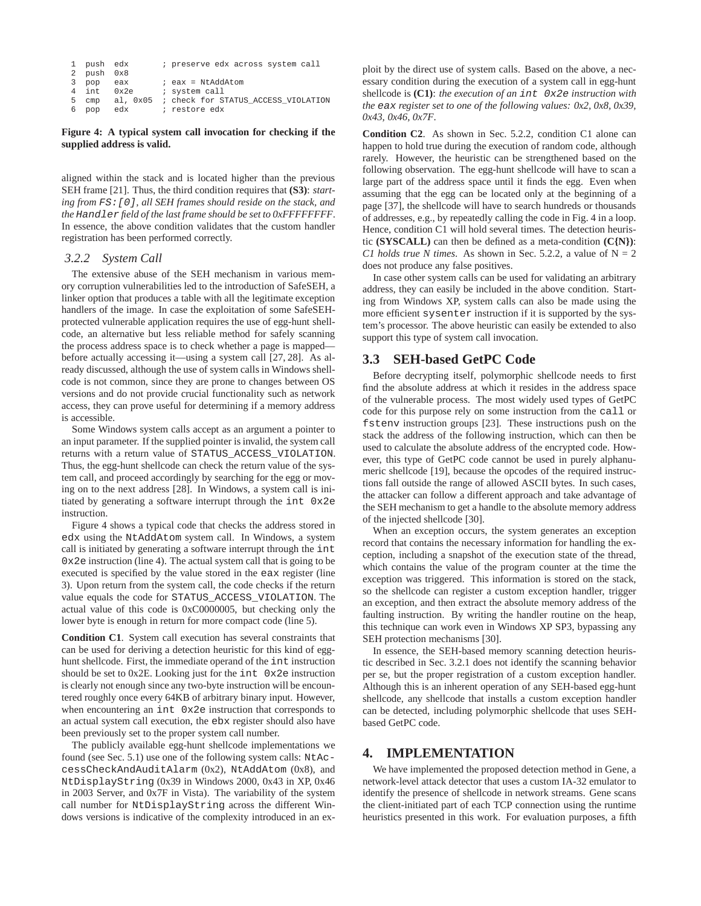|   | 1 push edx |                | ; preserve edx across system call   |
|---|------------|----------------|-------------------------------------|
|   | 2 push 0x8 |                |                                     |
|   | 3 pop      | eax            | $;$ eax = NtAddAtom                 |
|   | 4 int      | 0x2e           | ; system call                       |
|   |            | 5 cmp al, 0x05 | ; check for STATUS ACCESS VIOLATION |
| 6 | pop        | edx            | ; restore edx                       |

#### **Figure 4: A typical system call invocation for checking if the supplied address is valid.**

aligned within the stack and is located higher than the previous SEH frame [21]. Thus, the third condition requires that **(S3)**: *starting from* FS:[0]*, all SEH frames should reside on the stack, and the* Handler *field of the last frame should be set to 0xFFFFFFFF*. In essence, the above condition validates that the custom handler registration has been performed correctly.

#### *3.2.2 System Call*

The extensive abuse of the SEH mechanism in various memory corruption vulnerabilities led to the introduction of SafeSEH, a linker option that produces a table with all the legitimate exception handlers of the image. In case the exploitation of some SafeSEHprotected vulnerable application requires the use of egg-hunt shellcode, an alternative but less reliable method for safely scanning the process address space is to check whether a page is mapped before actually accessing it—using a system call [27, 28]. As already discussed, although the use of system calls in Windows shellcode is not common, since they are prone to changes between OS versions and do not provide crucial functionality such as network access, they can prove useful for determining if a memory address is accessible.

Some Windows system calls accept as an argument a pointer to an input parameter. If the supplied pointer is invalid, the system call returns with a return value of STATUS\_ACCESS\_VIOLATION. Thus, the egg-hunt shellcode can check the return value of the system call, and proceed accordingly by searching for the egg or moving on to the next address [28]. In Windows, a system call is initiated by generating a software interrupt through the int 0x2e instruction.

Figure 4 shows a typical code that checks the address stored in edx using the NtAddAtom system call. In Windows, a system call is initiated by generating a software interrupt through the int  $0x2e$  instruction (line 4). The actual system call that is going to be executed is specified by the value stored in the eax register (line 3). Upon return from the system call, the code checks if the return value equals the code for STATUS\_ACCESS\_VIOLATION. The actual value of this code is 0xC0000005, but checking only the lower byte is enough in return for more compact code (line 5).

**Condition C1**. System call execution has several constraints that can be used for deriving a detection heuristic for this kind of egghunt shellcode. First, the immediate operand of the int instruction should be set to 0x2E. Looking just for the int 0x2e instruction is clearly not enough since any two-byte instruction will be encountered roughly once every 64KB of arbitrary binary input. However, when encountering an int 0x2e instruction that corresponds to an actual system call execution, the ebx register should also have been previously set to the proper system call number.

The publicly available egg-hunt shellcode implementations we found (see Sec. 5.1) use one of the following system calls: NtAccessCheckAndAuditAlarm (0x2), NtAddAtom (0x8), and NtDisplayString (0x39 in Windows 2000, 0x43 in XP, 0x46 in 2003 Server, and 0x7F in Vista). The variability of the system call number for NtDisplayString across the different Windows versions is indicative of the complexity introduced in an exploit by the direct use of system calls. Based on the above, a necessary condition during the execution of a system call in egg-hunt shellcode is **(C1)**: *the execution of an* int 0x2e *instruction with the* eax *register set to one of the following values: 0x2, 0x8, 0x39, 0x43, 0x46, 0x7F*.

**Condition C2**. As shown in Sec. 5.2.2, condition C1 alone can happen to hold true during the execution of random code, although rarely. However, the heuristic can be strengthened based on the following observation. The egg-hunt shellcode will have to scan a large part of the address space until it finds the egg. Even when assuming that the egg can be located only at the beginning of a page [37], the shellcode will have to search hundreds or thousands of addresses, e.g., by repeatedly calling the code in Fig. 4 in a loop. Hence, condition C1 will hold several times. The detection heuristic **(SYSCALL)** can then be defined as a meta-condition **(C{N})**: *C1 holds true N times.* As shown in Sec. 5.2.2, a value of  $N = 2$ does not produce any false positives.

In case other system calls can be used for validating an arbitrary address, they can easily be included in the above condition. Starting from Windows XP, system calls can also be made using the more efficient sysenter instruction if it is supported by the system's processor. The above heuristic can easily be extended to also support this type of system call invocation.

#### **3.3 SEH-based GetPC Code**

Before decrypting itself, polymorphic shellcode needs to first find the absolute address at which it resides in the address space of the vulnerable process. The most widely used types of GetPC code for this purpose rely on some instruction from the call or fstenv instruction groups [23]. These instructions push on the stack the address of the following instruction, which can then be used to calculate the absolute address of the encrypted code. However, this type of GetPC code cannot be used in purely alphanumeric shellcode [19], because the opcodes of the required instructions fall outside the range of allowed ASCII bytes. In such cases, the attacker can follow a different approach and take advantage of the SEH mechanism to get a handle to the absolute memory address of the injected shellcode [30].

When an exception occurs, the system generates an exception record that contains the necessary information for handling the exception, including a snapshot of the execution state of the thread, which contains the value of the program counter at the time the exception was triggered. This information is stored on the stack, so the shellcode can register a custom exception handler, trigger an exception, and then extract the absolute memory address of the faulting instruction. By writing the handler routine on the heap, this technique can work even in Windows XP SP3, bypassing any SEH protection mechanisms [30].

In essence, the SEH-based memory scanning detection heuristic described in Sec. 3.2.1 does not identify the scanning behavior per se, but the proper registration of a custom exception handler. Although this is an inherent operation of any SEH-based egg-hunt shellcode, any shellcode that installs a custom exception handler can be detected, including polymorphic shellcode that uses SEHbased GetPC code.

## **4. IMPLEMENTATION**

We have implemented the proposed detection method in Gene, a network-level attack detector that uses a custom IA-32 emulator to identify the presence of shellcode in network streams. Gene scans the client-initiated part of each TCP connection using the runtime heuristics presented in this work. For evaluation purposes, a fifth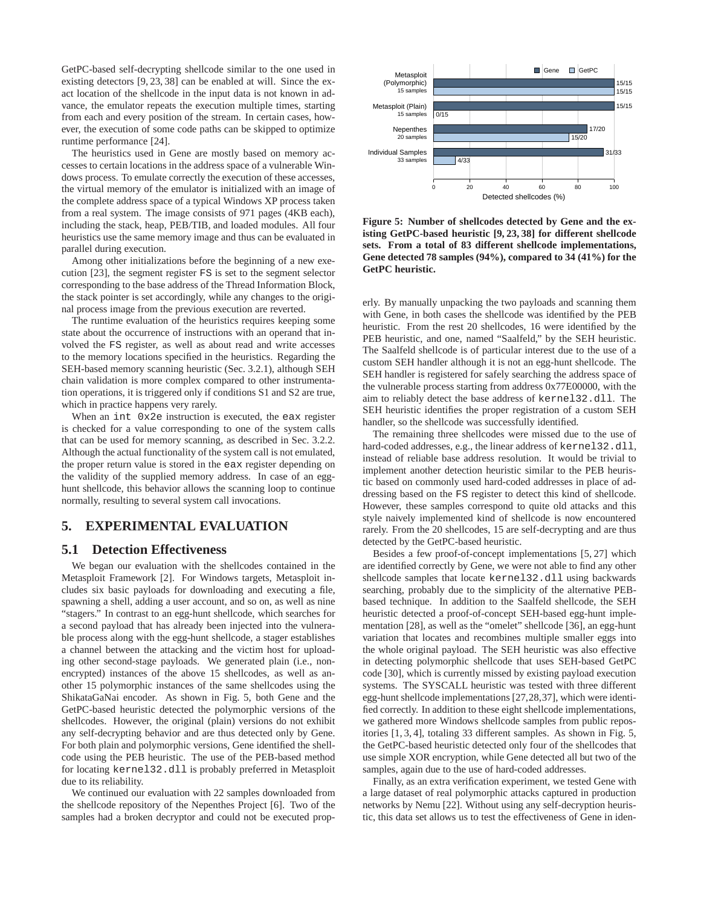GetPC-based self-decrypting shellcode similar to the one used in existing detectors [9, 23, 38] can be enabled at will. Since the exact location of the shellcode in the input data is not known in advance, the emulator repeats the execution multiple times, starting from each and every position of the stream. In certain cases, however, the execution of some code paths can be skipped to optimize runtime performance [24].

The heuristics used in Gene are mostly based on memory accesses to certain locations in the address space of a vulnerable Windows process. To emulate correctly the execution of these accesses, the virtual memory of the emulator is initialized with an image of the complete address space of a typical Windows XP process taken from a real system. The image consists of 971 pages (4KB each), including the stack, heap, PEB/TIB, and loaded modules. All four heuristics use the same memory image and thus can be evaluated in parallel during execution.

Among other initializations before the beginning of a new execution [23], the segment register FS is set to the segment selector corresponding to the base address of the Thread Information Block, the stack pointer is set accordingly, while any changes to the original process image from the previous execution are reverted.

The runtime evaluation of the heuristics requires keeping some state about the occurrence of instructions with an operand that involved the FS register, as well as about read and write accesses to the memory locations specified in the heuristics. Regarding the SEH-based memory scanning heuristic (Sec. 3.2.1), although SEH chain validation is more complex compared to other instrumentation operations, it is triggered only if conditions S1 and S2 are true, which in practice happens very rarely.

When an int 0x2e instruction is executed, the eax register is checked for a value corresponding to one of the system calls that can be used for memory scanning, as described in Sec. 3.2.2. Although the actual functionality of the system call is not emulated, the proper return value is stored in the eax register depending on the validity of the supplied memory address. In case of an egghunt shellcode, this behavior allows the scanning loop to continue normally, resulting to several system call invocations.

## **5. EXPERIMENTAL EVALUATION**

#### **5.1 Detection Effectiveness**

We began our evaluation with the shellcodes contained in the Metasploit Framework [2]. For Windows targets, Metasploit includes six basic payloads for downloading and executing a file, spawning a shell, adding a user account, and so on, as well as nine "stagers." In contrast to an egg-hunt shellcode, which searches for a second payload that has already been injected into the vulnerable process along with the egg-hunt shellcode, a stager establishes a channel between the attacking and the victim host for uploading other second-stage payloads. We generated plain (i.e., nonencrypted) instances of the above 15 shellcodes, as well as another 15 polymorphic instances of the same shellcodes using the ShikataGaNai encoder. As shown in Fig. 5, both Gene and the GetPC-based heuristic detected the polymorphic versions of the shellcodes. However, the original (plain) versions do not exhibit any self-decrypting behavior and are thus detected only by Gene. For both plain and polymorphic versions, Gene identified the shellcode using the PEB heuristic. The use of the PEB-based method for locating kernel32.dll is probably preferred in Metasploit due to its reliability.

We continued our evaluation with 22 samples downloaded from the shellcode repository of the Nepenthes Project [6]. Two of the samples had a broken decryptor and could not be executed prop-



**Figure 5: Number of shellcodes detected by Gene and the existing GetPC-based heuristic [9, 23, 38] for different shellcode sets. From a total of 83 different shellcode implementations, Gene detected 78 samples (94%), compared to 34 (41%) for the GetPC heuristic.**

erly. By manually unpacking the two payloads and scanning them with Gene, in both cases the shellcode was identified by the PEB heuristic. From the rest 20 shellcodes, 16 were identified by the PEB heuristic, and one, named "Saalfeld," by the SEH heuristic. The Saalfeld shellcode is of particular interest due to the use of a custom SEH handler although it is not an egg-hunt shellcode. The SEH handler is registered for safely searching the address space of the vulnerable process starting from address 0x77E00000, with the aim to reliably detect the base address of kernel32.dll. The SEH heuristic identifies the proper registration of a custom SEH handler, so the shellcode was successfully identified.

The remaining three shellcodes were missed due to the use of hard-coded addresses, e.g., the linear address of kernel 32.dll, instead of reliable base address resolution. It would be trivial to implement another detection heuristic similar to the PEB heuristic based on commonly used hard-coded addresses in place of addressing based on the FS register to detect this kind of shellcode. However, these samples correspond to quite old attacks and this style naively implemented kind of shellcode is now encountered rarely. From the 20 shellcodes, 15 are self-decrypting and are thus detected by the GetPC-based heuristic.

Besides a few proof-of-concept implementations [5, 27] which are identified correctly by Gene, we were not able to find any other shellcode samples that locate kernel32.dll using backwards searching, probably due to the simplicity of the alternative PEBbased technique. In addition to the Saalfeld shellcode, the SEH heuristic detected a proof-of-concept SEH-based egg-hunt implementation [28], as well as the "omelet" shellcode [36], an egg-hunt variation that locates and recombines multiple smaller eggs into the whole original payload. The SEH heuristic was also effective in detecting polymorphic shellcode that uses SEH-based GetPC code [30], which is currently missed by existing payload execution systems. The SYSCALL heuristic was tested with three different egg-hunt shellcode implementations [27,28,37], which were identified correctly. In addition to these eight shellcode implementations, we gathered more Windows shellcode samples from public repositories [1, 3, 4], totaling 33 different samples. As shown in Fig. 5, the GetPC-based heuristic detected only four of the shellcodes that use simple XOR encryption, while Gene detected all but two of the samples, again due to the use of hard-coded addresses.

Finally, as an extra verification experiment, we tested Gene with a large dataset of real polymorphic attacks captured in production networks by Nemu [22]. Without using any self-decryption heuristic, this data set allows us to test the effectiveness of Gene in iden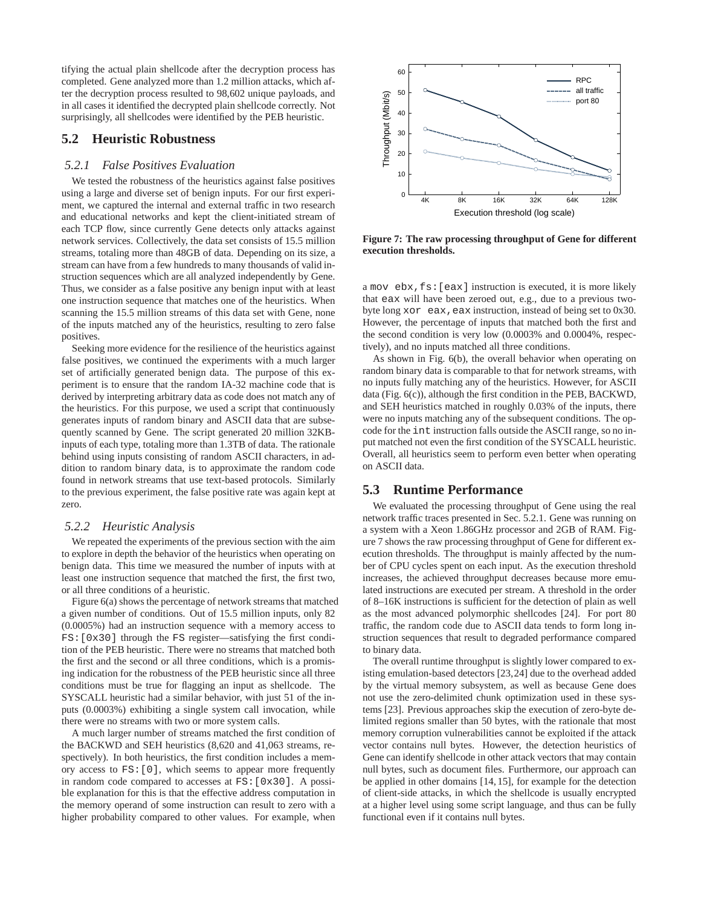tifying the actual plain shellcode after the decryption process has completed. Gene analyzed more than 1.2 million attacks, which after the decryption process resulted to 98,602 unique payloads, and in all cases it identified the decrypted plain shellcode correctly. Not surprisingly, all shellcodes were identified by the PEB heuristic.

# **5.2 Heuristic Robustness**

#### *5.2.1 False Positives Evaluation*

We tested the robustness of the heuristics against false positives using a large and diverse set of benign inputs. For our first experiment, we captured the internal and external traffic in two research and educational networks and kept the client-initiated stream of each TCP flow, since currently Gene detects only attacks against network services. Collectively, the data set consists of 15.5 million streams, totaling more than 48GB of data. Depending on its size, a stream can have from a few hundreds to many thousands of valid instruction sequences which are all analyzed independently by Gene. Thus, we consider as a false positive any benign input with at least one instruction sequence that matches one of the heuristics. When scanning the 15.5 million streams of this data set with Gene, none of the inputs matched any of the heuristics, resulting to zero false positives.

Seeking more evidence for the resilience of the heuristics against false positives, we continued the experiments with a much larger set of artificially generated benign data. The purpose of this experiment is to ensure that the random IA-32 machine code that is derived by interpreting arbitrary data as code does not match any of the heuristics. For this purpose, we used a script that continuously generates inputs of random binary and ASCII data that are subsequently scanned by Gene. The script generated 20 million 32KBinputs of each type, totaling more than 1.3TB of data. The rationale behind using inputs consisting of random ASCII characters, in addition to random binary data, is to approximate the random code found in network streams that use text-based protocols. Similarly to the previous experiment, the false positive rate was again kept at zero.

#### *5.2.2 Heuristic Analysis*

We repeated the experiments of the previous section with the aim to explore in depth the behavior of the heuristics when operating on benign data. This time we measured the number of inputs with at least one instruction sequence that matched the first, the first two, or all three conditions of a heuristic.

Figure 6(a) shows the percentage of network streams that matched a given number of conditions. Out of 15.5 million inputs, only 82 (0.0005%) had an instruction sequence with a memory access to FS:[0x30] through the FS register—satisfying the first condition of the PEB heuristic. There were no streams that matched both the first and the second or all three conditions, which is a promising indication for the robustness of the PEB heuristic since all three conditions must be true for flagging an input as shellcode. The SYSCALL heuristic had a similar behavior, with just 51 of the inputs (0.0003%) exhibiting a single system call invocation, while there were no streams with two or more system calls.

A much larger number of streams matched the first condition of the BACKWD and SEH heuristics (8,620 and 41,063 streams, respectively). In both heuristics, the first condition includes a memory access to FS:[0], which seems to appear more frequently in random code compared to accesses at FS:[0x30]. A possible explanation for this is that the effective address computation in the memory operand of some instruction can result to zero with a higher probability compared to other values. For example, when



**Figure 7: The raw processing throughput of Gene for different execution thresholds.**

a mov ebx,fs:[eax] instruction is executed, it is more likely that eax will have been zeroed out, e.g., due to a previous twobyte long xor eax, eax instruction, instead of being set to 0x30. However, the percentage of inputs that matched both the first and the second condition is very low (0.0003% and 0.0004%, respectively), and no inputs matched all three conditions.

As shown in Fig. 6(b), the overall behavior when operating on random binary data is comparable to that for network streams, with no inputs fully matching any of the heuristics. However, for ASCII data (Fig. 6(c)), although the first condition in the PEB, BACKWD, and SEH heuristics matched in roughly 0.03% of the inputs, there were no inputs matching any of the subsequent conditions. The opcode for the int instruction falls outside the ASCII range, so no input matched not even the first condition of the SYSCALL heuristic. Overall, all heuristics seem to perform even better when operating on ASCII data.

#### **5.3 Runtime Performance**

We evaluated the processing throughput of Gene using the real network traffic traces presented in Sec. 5.2.1. Gene was running on a system with a Xeon 1.86GHz processor and 2GB of RAM. Figure 7 shows the raw processing throughput of Gene for different execution thresholds. The throughput is mainly affected by the number of CPU cycles spent on each input. As the execution threshold increases, the achieved throughput decreases because more emulated instructions are executed per stream. A threshold in the order of 8–16K instructions is sufficient for the detection of plain as well as the most advanced polymorphic shellcodes [24]. For port 80 traffic, the random code due to ASCII data tends to form long instruction sequences that result to degraded performance compared to binary data.

The overall runtime throughput is slightly lower compared to existing emulation-based detectors [23,24] due to the overhead added by the virtual memory subsystem, as well as because Gene does not use the zero-delimited chunk optimization used in these systems [23]. Previous approaches skip the execution of zero-byte delimited regions smaller than 50 bytes, with the rationale that most memory corruption vulnerabilities cannot be exploited if the attack vector contains null bytes. However, the detection heuristics of Gene can identify shellcode in other attack vectors that may contain null bytes, such as document files. Furthermore, our approach can be applied in other domains [14, 15], for example for the detection of client-side attacks, in which the shellcode is usually encrypted at a higher level using some script language, and thus can be fully functional even if it contains null bytes.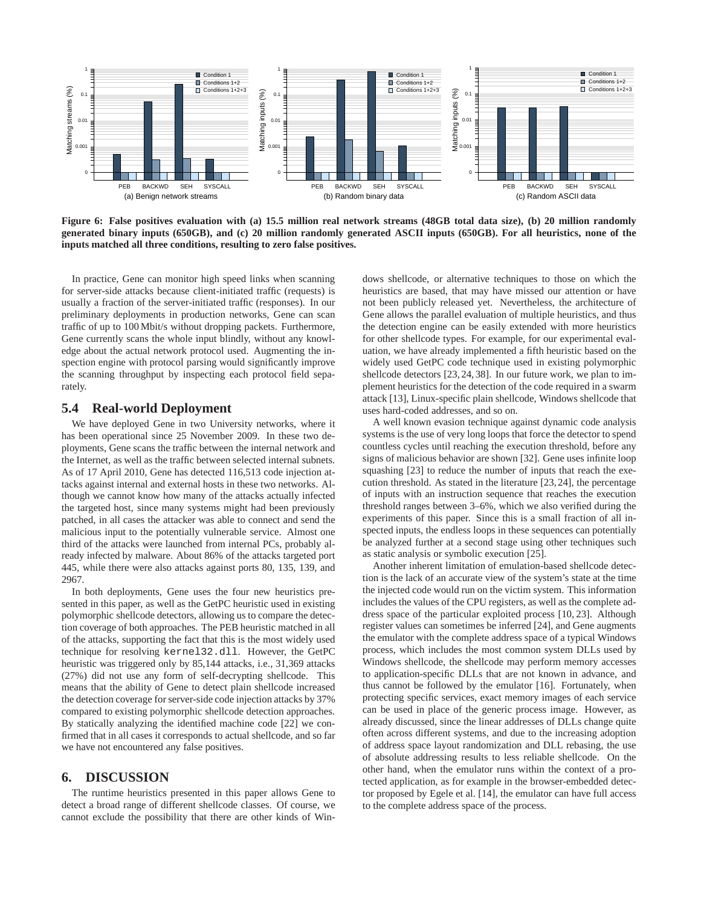

**Figure 6: False positives evaluation with (a) 15.5 million real network streams (48GB total data size), (b) 20 million randomly generated binary inputs (650GB), and (c) 20 million randomly generated ASCII inputs (650GB). For all heuristics, none of the inputs matched all three conditions, resulting to zero false positives.**

In practice, Gene can monitor high speed links when scanning for server-side attacks because client-initiated traffic (requests) is usually a fraction of the server-initiated traffic (responses). In our preliminary deployments in production networks, Gene can scan traffic of up to 100 Mbit/s without dropping packets. Furthermore, Gene currently scans the whole input blindly, without any knowledge about the actual network protocol used. Augmenting the inspection engine with protocol parsing would significantly improve the scanning throughput by inspecting each protocol field separately.

## **5.4 Real-world Deployment**

We have deployed Gene in two University networks, where it has been operational since 25 November 2009. In these two deployments, Gene scans the traffic between the internal network and the Internet, as well as the traffic between selected internal subnets. As of 17 April 2010, Gene has detected 116,513 code injection attacks against internal and external hosts in these two networks. Although we cannot know how many of the attacks actually infected the targeted host, since many systems might had been previously patched, in all cases the attacker was able to connect and send the malicious input to the potentially vulnerable service. Almost one third of the attacks were launched from internal PCs, probably already infected by malware. About 86% of the attacks targeted port 445, while there were also attacks against ports 80, 135, 139, and 2967.

In both deployments, Gene uses the four new heuristics presented in this paper, as well as the GetPC heuristic used in existing polymorphic shellcode detectors, allowing us to compare the detection coverage of both approaches. The PEB heuristic matched in all of the attacks, supporting the fact that this is the most widely used technique for resolving kernel32.dll. However, the GetPC heuristic was triggered only by 85,144 attacks, i.e., 31,369 attacks (27%) did not use any form of self-decrypting shellcode. This means that the ability of Gene to detect plain shellcode increased the detection coverage for server-side code injection attacks by 37% compared to existing polymorphic shellcode detection approaches. By statically analyzing the identified machine code [22] we confirmed that in all cases it corresponds to actual shellcode, and so far we have not encountered any false positives.

### **6. DISCUSSION**

The runtime heuristics presented in this paper allows Gene to detect a broad range of different shellcode classes. Of course, we cannot exclude the possibility that there are other kinds of Windows shellcode, or alternative techniques to those on which the heuristics are based, that may have missed our attention or have not been publicly released yet. Nevertheless, the architecture of Gene allows the parallel evaluation of multiple heuristics, and thus the detection engine can be easily extended with more heuristics for other shellcode types. For example, for our experimental evaluation, we have already implemented a fifth heuristic based on the widely used GetPC code technique used in existing polymorphic shellcode detectors [23, 24, 38]. In our future work, we plan to implement heuristics for the detection of the code required in a swarm attack [13], Linux-specific plain shellcode, Windows shellcode that uses hard-coded addresses, and so on.

A well known evasion technique against dynamic code analysis systems is the use of very long loops that force the detector to spend countless cycles until reaching the execution threshold, before any signs of malicious behavior are shown [32]. Gene uses infinite loop squashing [23] to reduce the number of inputs that reach the execution threshold. As stated in the literature [23,24], the percentage of inputs with an instruction sequence that reaches the execution threshold ranges between 3–6%, which we also verified during the experiments of this paper. Since this is a small fraction of all inspected inputs, the endless loops in these sequences can potentially be analyzed further at a second stage using other techniques such as static analysis or symbolic execution [25].

Another inherent limitation of emulation-based shellcode detection is the lack of an accurate view of the system's state at the time the injected code would run on the victim system. This information includes the values of the CPU registers, as well as the complete address space of the particular exploited process [10, 23]. Although register values can sometimes be inferred [24], and Gene augments the emulator with the complete address space of a typical Windows process, which includes the most common system DLLs used by Windows shellcode, the shellcode may perform memory accesses to application-specific DLLs that are not known in advance, and thus cannot be followed by the emulator [16]. Fortunately, when protecting specific services, exact memory images of each service can be used in place of the generic process image. However, as already discussed, since the linear addresses of DLLs change quite often across different systems, and due to the increasing adoption of address space layout randomization and DLL rebasing, the use of absolute addressing results to less reliable shellcode. On the other hand, when the emulator runs within the context of a protected application, as for example in the browser-embedded detector proposed by Egele et al. [14], the emulator can have full access to the complete address space of the process.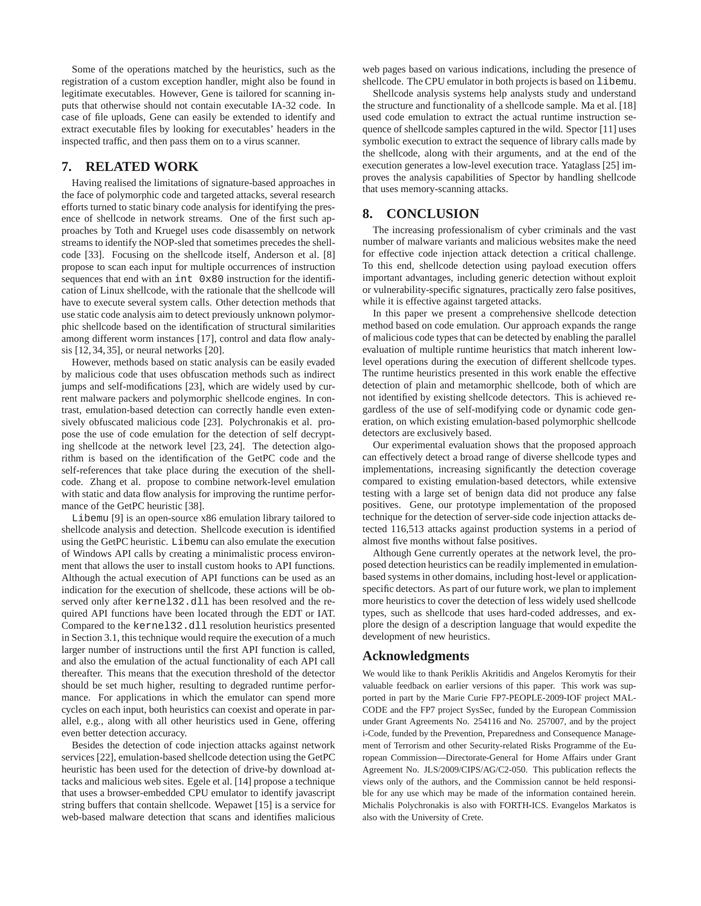Some of the operations matched by the heuristics, such as the registration of a custom exception handler, might also be found in legitimate executables. However, Gene is tailored for scanning inputs that otherwise should not contain executable IA-32 code. In case of file uploads, Gene can easily be extended to identify and extract executable files by looking for executables' headers in the inspected traffic, and then pass them on to a virus scanner.

# **7. RELATED WORK**

Having realised the limitations of signature-based approaches in the face of polymorphic code and targeted attacks, several research efforts turned to static binary code analysis for identifying the presence of shellcode in network streams. One of the first such approaches by Toth and Kruegel uses code disassembly on network streams to identify the NOP-sled that sometimes precedes the shellcode [33]. Focusing on the shellcode itself, Anderson et al. [8] propose to scan each input for multiple occurrences of instruction sequences that end with an int 0x80 instruction for the identification of Linux shellcode, with the rationale that the shellcode will have to execute several system calls. Other detection methods that use static code analysis aim to detect previously unknown polymorphic shellcode based on the identification of structural similarities among different worm instances [17], control and data flow analysis [12, 34, 35], or neural networks [20].

However, methods based on static analysis can be easily evaded by malicious code that uses obfuscation methods such as indirect jumps and self-modifications [23], which are widely used by current malware packers and polymorphic shellcode engines. In contrast, emulation-based detection can correctly handle even extensively obfuscated malicious code [23]. Polychronakis et al. propose the use of code emulation for the detection of self decrypting shellcode at the network level [23, 24]. The detection algorithm is based on the identification of the GetPC code and the self-references that take place during the execution of the shellcode. Zhang et al. propose to combine network-level emulation with static and data flow analysis for improving the runtime performance of the GetPC heuristic [38].

Libemu [9] is an open-source x86 emulation library tailored to shellcode analysis and detection. Shellcode execution is identified using the GetPC heuristic. Libemu can also emulate the execution of Windows API calls by creating a minimalistic process environment that allows the user to install custom hooks to API functions. Although the actual execution of API functions can be used as an indication for the execution of shellcode, these actions will be observed only after kernel32.dll has been resolved and the required API functions have been located through the EDT or IAT. Compared to the kernel32.dll resolution heuristics presented in Section 3.1, this technique would require the execution of a much larger number of instructions until the first API function is called, and also the emulation of the actual functionality of each API call thereafter. This means that the execution threshold of the detector should be set much higher, resulting to degraded runtime performance. For applications in which the emulator can spend more cycles on each input, both heuristics can coexist and operate in parallel, e.g., along with all other heuristics used in Gene, offering even better detection accuracy.

Besides the detection of code injection attacks against network services [22], emulation-based shellcode detection using the GetPC heuristic has been used for the detection of drive-by download attacks and malicious web sites. Egele et al. [14] propose a technique that uses a browser-embedded CPU emulator to identify javascript string buffers that contain shellcode. Wepawet [15] is a service for web-based malware detection that scans and identifies malicious

web pages based on various indications, including the presence of shellcode. The CPU emulator in both projects is based on libemu.

Shellcode analysis systems help analysts study and understand the structure and functionality of a shellcode sample. Ma et al. [18] used code emulation to extract the actual runtime instruction sequence of shellcode samples captured in the wild. Spector [11] uses symbolic execution to extract the sequence of library calls made by the shellcode, along with their arguments, and at the end of the execution generates a low-level execution trace. Yataglass [25] improves the analysis capabilities of Spector by handling shellcode that uses memory-scanning attacks.

## **8. CONCLUSION**

The increasing professionalism of cyber criminals and the vast number of malware variants and malicious websites make the need for effective code injection attack detection a critical challenge. To this end, shellcode detection using payload execution offers important advantages, including generic detection without exploit or vulnerability-specific signatures, practically zero false positives, while it is effective against targeted attacks.

In this paper we present a comprehensive shellcode detection method based on code emulation. Our approach expands the range of malicious code types that can be detected by enabling the parallel evaluation of multiple runtime heuristics that match inherent lowlevel operations during the execution of different shellcode types. The runtime heuristics presented in this work enable the effective detection of plain and metamorphic shellcode, both of which are not identified by existing shellcode detectors. This is achieved regardless of the use of self-modifying code or dynamic code generation, on which existing emulation-based polymorphic shellcode detectors are exclusively based.

Our experimental evaluation shows that the proposed approach can effectively detect a broad range of diverse shellcode types and implementations, increasing significantly the detection coverage compared to existing emulation-based detectors, while extensive testing with a large set of benign data did not produce any false positives. Gene, our prototype implementation of the proposed technique for the detection of server-side code injection attacks detected 116,513 attacks against production systems in a period of almost five months without false positives.

Although Gene currently operates at the network level, the proposed detection heuristics can be readily implemented in emulationbased systems in other domains, including host-level or applicationspecific detectors. As part of our future work, we plan to implement more heuristics to cover the detection of less widely used shellcode types, such as shellcode that uses hard-coded addresses, and explore the design of a description language that would expedite the development of new heuristics.

#### **Acknowledgments**

We would like to thank Periklis Akritidis and Angelos Keromytis for their valuable feedback on earlier versions of this paper. This work was supported in part by the Marie Curie FP7-PEOPLE-2009-IOF project MAL-CODE and the FP7 project SysSec, funded by the European Commission under Grant Agreements No. 254116 and No. 257007, and by the project i-Code, funded by the Prevention, Preparedness and Consequence Management of Terrorism and other Security-related Risks Programme of the European Commission—Directorate-General for Home Affairs under Grant Agreement No. JLS/2009/CIPS/AG/C2-050. This publication reflects the views only of the authors, and the Commission cannot be held responsible for any use which may be made of the information contained herein. Michalis Polychronakis is also with FORTH-ICS. Evangelos Markatos is also with the University of Crete.